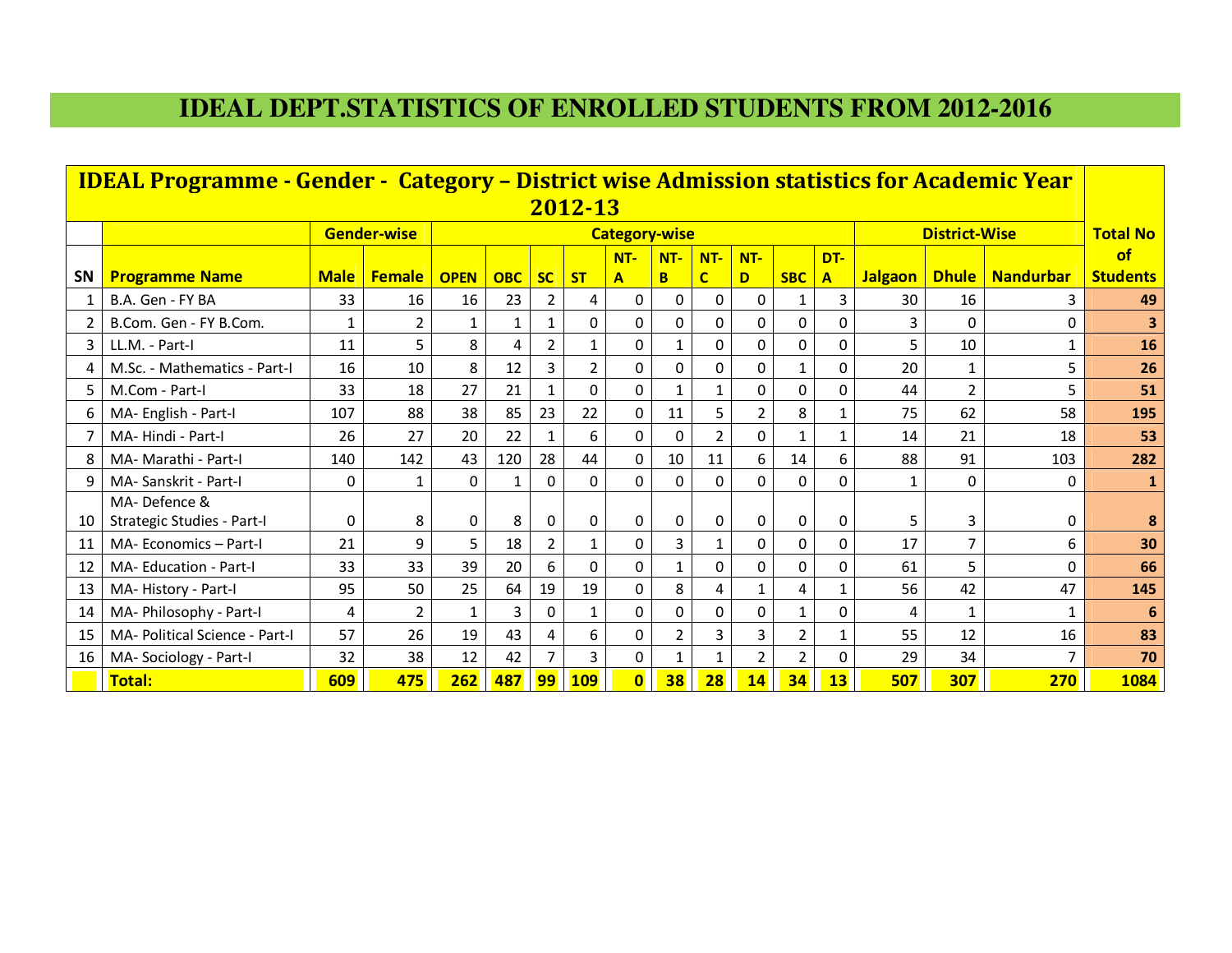## **IDEAL DEPT.STATISTICS OF ENROLLED STUDENTS FROM 2012-2016**

|           | <b>IDEAL Programme - Gender - Category - District wise Admission statistics for Academic Year</b> |              |                    |             |                                              |                |                |                         |                |                         |          |            |          |                |                |                   |                         |
|-----------|---------------------------------------------------------------------------------------------------|--------------|--------------------|-------------|----------------------------------------------|----------------|----------------|-------------------------|----------------|-------------------------|----------|------------|----------|----------------|----------------|-------------------|-------------------------|
|           |                                                                                                   |              |                    |             |                                              |                | 2012-13        |                         |                |                         |          |            |          |                |                |                   |                         |
|           |                                                                                                   |              | <b>Gender-wise</b> |             | <b>District-Wise</b><br><b>Category-wise</b> |                |                |                         |                |                         |          |            |          |                |                |                   | <b>Total No</b>         |
|           |                                                                                                   |              |                    |             |                                              |                |                | $NT -$                  | $NT -$         | $NT -$                  | $NT -$   |            | DT-      |                |                |                   | $\alpha$ f              |
| <b>SN</b> | <b>Programme Name</b>                                                                             | <b>Male</b>  | <b>Female</b>      | <b>OPEN</b> | <b>OBC</b>                                   | <b>SC</b>      | <b>ST</b>      | $\overline{\mathbf{A}}$ | B              | $\overline{\mathsf{C}}$ | D        | <b>SBC</b> | A        | <b>Jalgaon</b> |                | Dhule   Nandurbar | <b>Students</b>         |
|           | B.A. Gen - FY BA                                                                                  | 33           | 16                 | 16          | 23                                           | $\overline{2}$ | 4              | $\Omega$                | $\Omega$       | $\Omega$                | $\Omega$ |            | 3        | 30             | 16             | 3                 | 49                      |
| 2         | B.Com. Gen - FY B.Com.                                                                            | $\mathbf{1}$ | $\overline{2}$     | 1           | 1                                            | $\mathbf{1}$   | $\Omega$       | $\Omega$                | $\Omega$       | 0                       | $\Omega$ | 0          | 0        | 3              | $\Omega$       | $\Omega$          | $\overline{\mathbf{3}}$ |
| 3         | LL.M. - Part-I                                                                                    | 11           | 5                  | 8           | 4                                            | $\overline{2}$ | 1              | 0                       | 1              | 0                       | $\Omega$ | 0          | 0        | 5              | 10             | 1                 | 16                      |
| 4         | M.Sc. - Mathematics - Part-I                                                                      | 16           | 10                 | 8           | 12                                           | 3              | $\overline{2}$ | $\Omega$                | 0              | 0                       | $\Omega$ | 1          | 0        | 20             | $\mathbf 1$    | 5                 | 26                      |
| 5         | M.Com - Part-I                                                                                    | 33           | 18                 | 27          | 21                                           | $\mathbf{1}$   | $\Omega$       | 0                       |                | $\mathbf{1}$            | $\Omega$ | 0          | 0        | 44             | $\overline{2}$ | 5                 | 51                      |
| 6         | MA- English - Part-I                                                                              | 107          | 88                 | 38          | 85                                           | 23             | 22             | 0                       | 11             | 5                       | 2        | 8          |          | 75             | 62             | 58                | 195                     |
|           | MA-Hindi - Part-I                                                                                 | 26           | 27                 | 20          | 22                                           | 1              | 6              | $\Omega$                | $\Omega$       | $\overline{2}$          | $\Omega$ | 1          | 1        | 14             | 21             | 18                | 53                      |
| 8         | MA- Marathi - Part-I                                                                              | 140          | 142                | 43          | 120                                          | 28             | 44             | 0                       | 10             | 11                      | 6        | 14         | 6        | 88             | 91             | 103               | 282                     |
| 9         | MA- Sanskrit - Part-I                                                                             | 0            | $\mathbf{1}$       | $\Omega$    | 1                                            | 0              | $\Omega$       | $\Omega$                | $\Omega$       | $\Omega$                | $\Omega$ | $\Omega$   | 0        | 1              | $\Omega$       | $\Omega$          | 1                       |
|           | MA-Defence &                                                                                      |              |                    |             |                                              |                |                |                         |                |                         |          |            |          |                |                |                   |                         |
| 10        | Strategic Studies - Part-I                                                                        | 0            | 8                  | $\Omega$    | 8                                            | $\Omega$       | $\Omega$       | 0                       | 0              | 0                       | $\Omega$ | 0          | $\Omega$ | 5              | 3              | $\mathbf 0$       | 8                       |
| 11        | MA- Economics - Part-I                                                                            | 21           | 9                  | 5.          | 18                                           | $\overline{2}$ | 1              | $\Omega$                | 3              | $\mathbf{1}$            | $\Omega$ | 0          | 0        | 17             | 7              | 6                 | 30                      |
| 12        | <b>MA-Education - Part-I</b>                                                                      | 33           | 33                 | 39          | 20                                           | 6              | $\Omega$       | $\Omega$                | 1              | $\mathbf 0$             | $\Omega$ | 0          | $\Omega$ | 61             | 5              | 0                 | 66                      |
| 13        | MA-History - Part-I                                                                               | 95           | 50                 | 25          | 64                                           | 19             | 19             | $\Omega$                | 8              | 4                       |          | 4          |          | 56             | 42             | 47                | 145                     |
| 14        | MA- Philosophy - Part-I                                                                           | 4            | 2                  | 1           | 3                                            | 0              | 1              | 0                       | $\Omega$       | $\Omega$                | $\Omega$ |            | $\Omega$ | 4              | 1              | $\mathbf{1}$      | 6                       |
| 15        | MA- Political Science - Part-I                                                                    | 57           | 26                 | 19          | 43                                           | 4              | 6              | 0                       | $\overline{2}$ | 3                       | 3        | 2          |          | 55             | 12             | 16                | 83                      |
| 16        | MA-Sociology - Part-I                                                                             | 32           | 38                 | 12          | 42                                           |                | 3              | 0                       |                |                         |          | 2          | 0        | 29             | 34             | 7                 | 70                      |
|           | Total:                                                                                            | 609          | 475                | 262         | 487                                          | 99             | <b>109</b>     | $\overline{\mathbf{0}}$ | 38             | 28                      | 14       | 34         | 13       | 507            | 307            | 270               | 1084                    |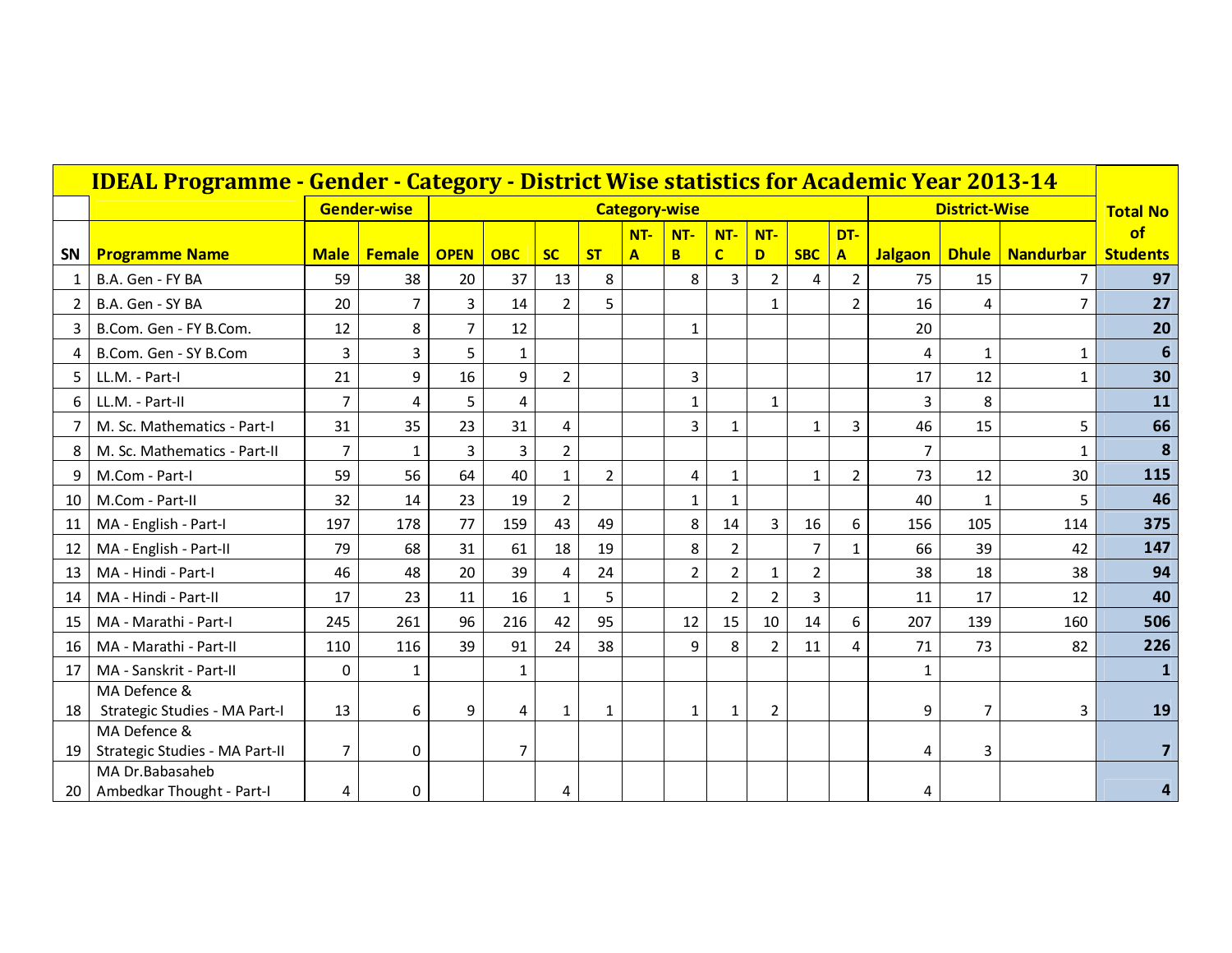|                 | <b>IDEAL Programme - Gender - Category - District Wise statistics for Academic Year 2013-14</b> |                |                    |                |                |                |                |                      |                |                |                |              |                         |                |                      |                  |                 |
|-----------------|-------------------------------------------------------------------------------------------------|----------------|--------------------|----------------|----------------|----------------|----------------|----------------------|----------------|----------------|----------------|--------------|-------------------------|----------------|----------------------|------------------|-----------------|
|                 |                                                                                                 |                | <b>Gender-wise</b> |                |                |                |                | <b>Category-wise</b> |                |                |                |              |                         |                | <b>District-Wise</b> |                  | <b>Total No</b> |
|                 |                                                                                                 |                |                    |                |                |                |                | $NT -$               | NT-            | $NT -$         | $NT -$         |              | DT-                     |                |                      |                  | of              |
| <b>SN</b>       | <b>Programme Name</b>                                                                           | <b>Male</b>    | Female             | <b>OPEN</b>    | <b>OBC</b>     | <b>SC</b>      | <b>ST</b>      | $\mathbf{A}$         | <b>B</b>       | $\overline{c}$ | D              | <b>SBC</b>   | $\overline{\mathbf{A}}$ | <b>Jalgaon</b> | <b>Dhule</b>         | <b>Nandurbar</b> | <b>Students</b> |
| 1               | B.A. Gen - FY BA                                                                                | 59             | 38                 | 20             | 37             | 13             | 8              |                      | 8              | $\overline{3}$ | $\overline{2}$ | 4            | $\overline{2}$          | 75             | 15                   | 7                | 97              |
| $\overline{2}$  | B.A. Gen - SY BA                                                                                | 20             | 7                  | 3              | 14             | $\overline{2}$ | 5              |                      |                |                | 1              |              | $\overline{2}$          | 16             | 4                    | $\overline{7}$   | 27              |
| 3               | B.Com. Gen - FY B.Com.                                                                          | 12             | 8                  | $\overline{7}$ | 12             |                |                |                      | $\mathbf 1$    |                |                |              |                         | 20             |                      |                  | 20              |
| 4               | B.Com. Gen - SY B.Com                                                                           | 3              | $\overline{3}$     | 5              | $\mathbf{1}$   |                |                |                      |                |                |                |              |                         | 4              | $\mathbf{1}$         | $\mathbf{1}$     | 6               |
| 5               | LL.M. - Part-I                                                                                  | 21             | 9                  | 16             | 9              | $\overline{2}$ |                |                      | 3              |                |                |              |                         | 17             | 12                   | $\mathbf{1}$     | 30              |
| 6               | LL.M. - Part-II                                                                                 | $\overline{7}$ | 4                  | 5              | 4              |                |                |                      | 1              |                | $\mathbf{1}$   |              |                         | 3              | 8                    |                  | 11              |
| 7               | M. Sc. Mathematics - Part-I                                                                     | 31             | 35                 | 23             | 31             | 4              |                |                      | $\overline{3}$ | $\mathbf{1}$   |                | $\mathbf{1}$ | $\overline{3}$          | 46             | 15                   | 5                | 66              |
| 8               | M. Sc. Mathematics - Part-II                                                                    | $\overline{7}$ | $\mathbf{1}$       | 3              | $\overline{3}$ | $\overline{2}$ |                |                      |                |                |                |              |                         | 7              |                      | 1                | 8               |
| 9               | M.Com - Part-I                                                                                  | 59             | 56                 | 64             | 40             | $\mathbf{1}$   | $\overline{2}$ |                      | 4              | $\mathbf{1}$   |                | $\mathbf{1}$ | $\overline{2}$          | 73             | 12                   | 30               | 115             |
| 10              | M.Com - Part-II                                                                                 | 32             | 14                 | 23             | 19             | $\overline{2}$ |                |                      | 1              | 1              |                |              |                         | 40             | $\mathbf{1}$         | 5                | 46              |
| 11              | MA - English - Part-I                                                                           | 197            | 178                | 77             | 159            | 43             | 49             |                      | 8              | 14             | 3              | 16           | 6                       | 156            | 105                  | 114              | 375             |
| 12              | MA - English - Part-II                                                                          | 79             | 68                 | 31             | 61             | 18             | 19             |                      | 8              | $\overline{2}$ |                | 7            | $\mathbf{1}$            | 66             | 39                   | 42               | 147             |
| 13              | MA - Hindi - Part-I                                                                             | 46             | 48                 | 20             | 39             | 4              | 24             |                      | $\overline{2}$ | $\overline{2}$ | 1              | 2            |                         | 38             | 18                   | 38               | 94              |
| 14              | MA - Hindi - Part-II                                                                            | 17             | 23                 | 11             | 16             | $\mathbf{1}$   | 5              |                      |                | $\overline{2}$ | 2              | 3            |                         | 11             | 17                   | 12               | 40              |
| 15              | MA - Marathi - Part-I                                                                           | 245            | 261                | 96             | 216            | 42             | 95             |                      | 12             | 15             | 10             | 14           | 6                       | 207            | 139                  | 160              | 506             |
| 16              | MA - Marathi - Part-II                                                                          | 110            | 116                | 39             | 91             | 24             | 38             |                      | 9              | 8              | $\overline{2}$ | 11           | $\overline{4}$          | 71             | 73                   | 82               | 226             |
| 17              | MA - Sanskrit - Part-II                                                                         | $\mathbf 0$    | $\mathbf{1}$       |                | $\mathbf{1}$   |                |                |                      |                |                |                |              |                         | 1              |                      |                  |                 |
|                 | MA Defence &                                                                                    |                |                    |                |                |                |                |                      |                |                |                |              |                         |                |                      |                  |                 |
| 18              | Strategic Studies - MA Part-I                                                                   | 13             | 6                  | 9              | 4              | $\mathbf{1}$   | 1              |                      | $\mathbf{1}$   | $\mathbf{1}$   | $\overline{2}$ |              |                         | 9              | 7                    | 3                | 19              |
|                 | MA Defence &                                                                                    |                |                    |                |                |                |                |                      |                |                |                |              |                         |                |                      |                  |                 |
| 19              | Strategic Studies - MA Part-II<br>MA Dr.Babasaheb                                               | $\overline{7}$ | 0                  |                | $\overline{7}$ |                |                |                      |                |                |                |              |                         | 4              | 3                    |                  |                 |
| 20 <sub>1</sub> | Ambedkar Thought - Part-I                                                                       | 4              | 0                  |                |                | 4              |                |                      |                |                |                |              |                         | 4              |                      |                  |                 |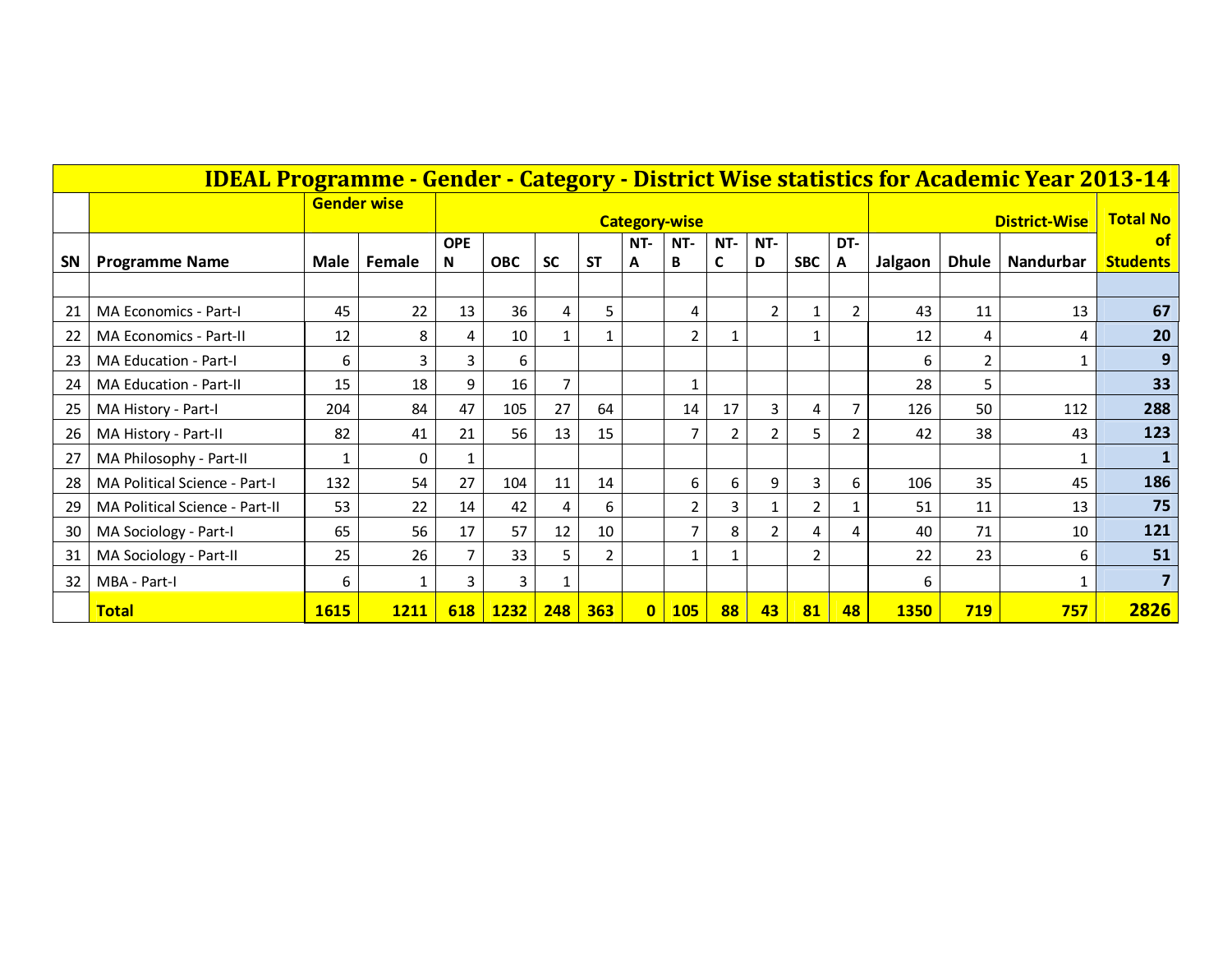|    | <b>IDEAL Programme - Gender - Category - District Wise statistics for Academic Year 2013-14</b> |             |                    |                 |             |              |              |              |                      |          |                |                |          |             |                 |                  |                              |
|----|-------------------------------------------------------------------------------------------------|-------------|--------------------|-----------------|-------------|--------------|--------------|--------------|----------------------|----------|----------------|----------------|----------|-------------|-----------------|------------------|------------------------------|
|    |                                                                                                 |             | <b>Gender wise</b> |                 |             |              |              |              | <b>Category-wise</b> |          |                |                |          |             | <b>Total No</b> |                  |                              |
| SN | <b>Programme Name</b>                                                                           | Male        | Female             | <b>OPE</b><br>N | <b>OBC</b>  | <b>SC</b>    | <b>ST</b>    | NT-<br>A     | NT-<br>B             | NT-<br>C | NT-<br>D       | <b>SBC</b>     | DT-<br>Α | Jalgaon     | <b>Dhule</b>    | <b>Nandurbar</b> | <b>of</b><br><b>Students</b> |
|    |                                                                                                 |             |                    |                 |             |              |              |              |                      |          |                |                |          |             |                 |                  |                              |
| 21 | MA Economics - Part-I                                                                           | 45          | 22                 | 13              | 36          | 4            | 5            |              | 4                    |          | $2^{\circ}$    | $\mathbf 1$    | 2        | 43          | 11              | 13               | 67                           |
| 22 | <b>MA Economics - Part-II</b>                                                                   | 12          | 8                  | 4               | 10          | $\mathbf{1}$ | $\mathbf{1}$ |              | $\overline{2}$       | 1        |                | $\mathbf{1}$   |          | 12          | 4               | 4                | 20                           |
| 23 | <b>MA Education - Part-I</b>                                                                    | 6           | 3                  | 3               | 6           |              |              |              |                      |          |                |                |          | 6           | 2               | 1                | 9                            |
| 24 | MA Education - Part-II                                                                          | 15          | 18                 | 9               | 16          | 7            |              |              | 1                    |          |                |                |          | 28          | 5               |                  | 33                           |
| 25 | MA History - Part-I                                                                             | 204         | 84                 | 47              | 105         | 27           | 64           |              | 14                   | 17       | $\overline{3}$ | 4              | 7        | 126         | 50              | 112              | 288                          |
| 26 | MA History - Part-II                                                                            | 82          | 41                 | 21              | 56          | 13           | 15           |              | 7                    | 2        | 2              | 5              | 2        | 42          | 38              | 43               | 123                          |
| 27 | MA Philosophy - Part-II                                                                         |             | 0                  |                 |             |              |              |              |                      |          |                |                |          |             |                 | 1                | $\mathbf{1}$                 |
| 28 | MA Political Science - Part-I                                                                   | 132         | 54                 | 27              | 104         | 11           | 14           |              | 6                    | 6        | 9              | 3              | 6        | 106         | 35              | 45               | 186                          |
| 29 | MA Political Science - Part-II                                                                  | 53          | 22                 | 14              | 42          | 4            | 6            |              | $\overline{2}$       | 3        |                | $\overline{2}$ |          | 51          | 11              | 13               | 75                           |
| 30 | MA Sociology - Part-I                                                                           | 65          | 56                 | 17              | 57          | 12           | 10           |              | $\overline{7}$       | 8        | $\overline{2}$ | 4              | 4        | 40          | 71              | 10               | 121                          |
| 31 | MA Sociology - Part-II                                                                          | 25          | 26                 |                 | 33          | 5.           | 2            |              | 1                    |          |                | $\overline{2}$ |          | 22          | 23              | 6                | 51                           |
| 32 | MBA - Part-I                                                                                    | 6           | 1                  | 3               | 3           | 1            |              |              |                      |          |                |                |          | 6           |                 | 1                | $\overline{\mathbf{z}}$      |
|    | <b>Total</b>                                                                                    | <b>1615</b> | <b>1211</b>        | 618             | <b>1232</b> | 248          | 363          | $\mathbf{0}$ | <b>105</b>           | 88       | 43             | 81             | 48       | <b>1350</b> | 719             | 757              | 2826                         |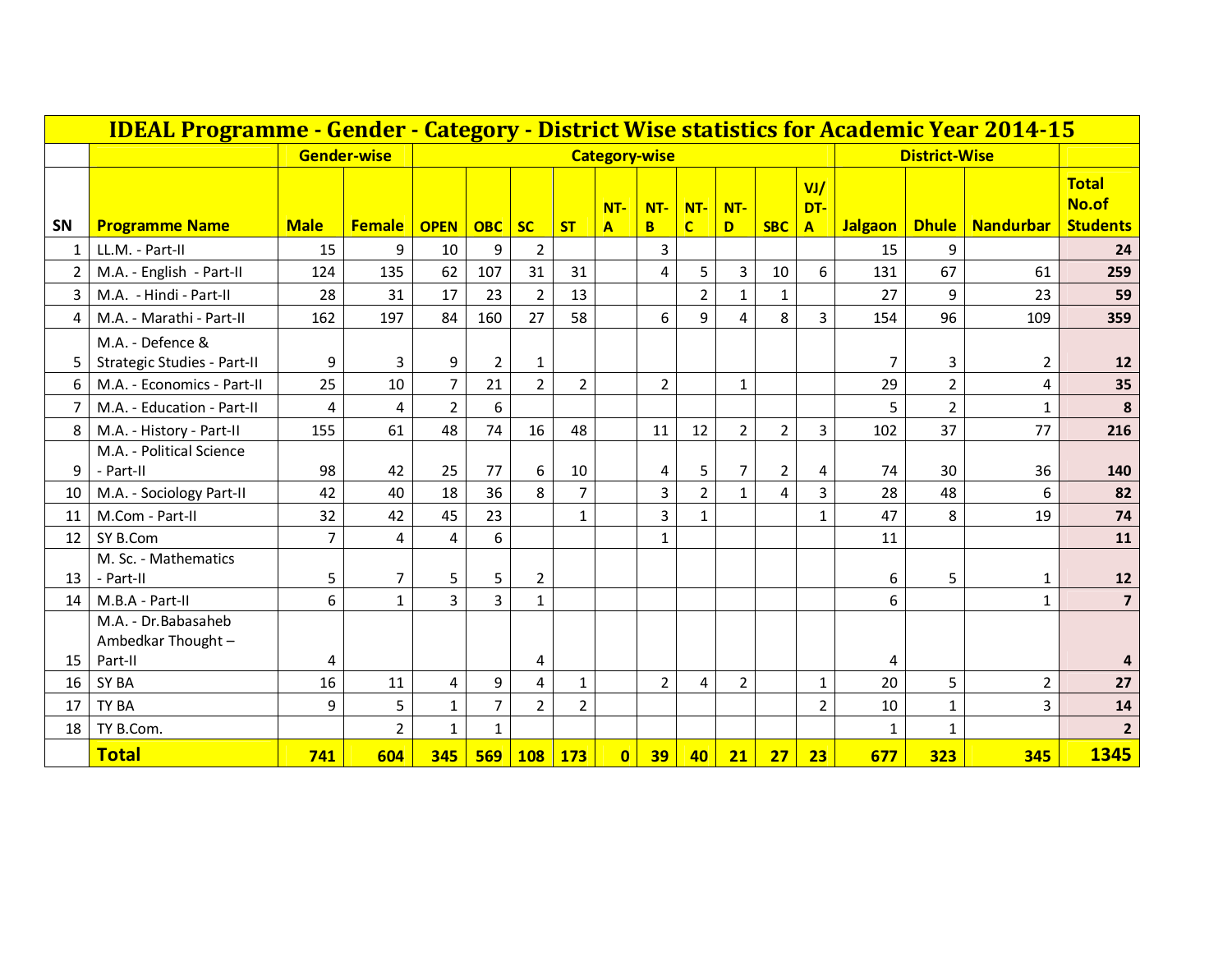|                 |                                                     | <b>IDEAL Programme - Gender - Category - District Wise statistics for Academic Year 2014-15</b> |                    |                |                |                |                |                                   |                         |                       |                |                |                            |                |                      |                  |                                          |
|-----------------|-----------------------------------------------------|-------------------------------------------------------------------------------------------------|--------------------|----------------|----------------|----------------|----------------|-----------------------------------|-------------------------|-----------------------|----------------|----------------|----------------------------|----------------|----------------------|------------------|------------------------------------------|
|                 |                                                     |                                                                                                 | <b>Gender-wise</b> |                |                |                |                | <b>Category-wise</b>              |                         |                       |                |                |                            |                | <b>District-Wise</b> |                  |                                          |
| SN              | <b>Programme Name</b>                               | <b>Male</b>                                                                                     | <b>Female</b>      | <b>OPEN</b>    | <b>OBC</b>     | <b>SC</b>      | <b>ST</b>      | $NT -$<br>$\overline{\mathbf{A}}$ | $NT -$<br>B             | NT-<br>$\overline{c}$ | NT-<br>D       | <b>SBC</b>     | VI/<br>DT-<br>$\mathbf{A}$ | <b>Jalgaon</b> | <b>Dhule</b>         | <b>Nandurbar</b> | <b>Total</b><br>No.of<br><b>Students</b> |
| $\mathbf{1}$    | LL.M. - Part-II                                     | 15                                                                                              | 9                  | 10             | 9              | $\overline{2}$ |                |                                   | $\overline{3}$          |                       |                |                |                            | 15             | 9                    |                  | 24                                       |
| $\overline{2}$  | M.A. - English - Part-II                            | 124                                                                                             | 135                | 62             | 107            | 31             | 31             |                                   | 4                       | 5                     | 3              | 10             | 6                          | 131            | 67                   | 61               | 259                                      |
| 3               | M.A. - Hindi - Part-II                              | 28                                                                                              | 31                 | 17             | 23             | $\overline{2}$ | 13             |                                   |                         | $\overline{2}$        | $\mathbf{1}$   | $\mathbf{1}$   |                            | 27             | 9                    | 23               | 59                                       |
| 4               | M.A. - Marathi - Part-II                            | 162                                                                                             | 197                | 84             | 160            | 27             | 58             |                                   | 6                       | 9                     | 4              | 8              | 3                          | 154            | 96                   | 109              | 359                                      |
| 5.              | M.A. - Defence &<br>Strategic Studies - Part-II     | 9                                                                                               | 3                  | 9              | $\overline{2}$ | 1              |                |                                   |                         |                       |                |                |                            | 7              | 3                    | $\overline{2}$   | 12                                       |
| 6               | M.A. - Economics - Part-II                          | 25                                                                                              | 10                 | $\overline{7}$ | 21             | $\overline{2}$ | $\overline{2}$ |                                   | $\overline{2}$          |                       | $\mathbf{1}$   |                |                            | 29             | $\overline{2}$       | 4                | 35                                       |
| $\overline{7}$  | M.A. - Education - Part-II                          | 4                                                                                               | 4                  | $\overline{2}$ | 6              |                |                |                                   |                         |                       |                |                |                            | 5              | $\overline{2}$       | $\mathbf{1}$     | 8                                        |
| 8               | M.A. - History - Part-II                            | 155                                                                                             | 61                 | 48             | 74             | 16             | 48             |                                   | 11                      | 12                    | $\overline{2}$ | $\overline{2}$ | 3                          | 102            | 37                   | 77               | 216                                      |
| 9               | M.A. - Political Science<br>- Part-II               | 98                                                                                              | 42                 | 25             | 77             | 6              | 10             |                                   | $\overline{\mathbf{4}}$ | 5                     | $\overline{7}$ | $\overline{2}$ | 4                          | 74             | 30                   | 36               | 140                                      |
| 10              | M.A. - Sociology Part-II                            | 42                                                                                              | 40                 | 18             | 36             | 8              | $\overline{7}$ |                                   | 3                       | $\overline{2}$        | $\mathbf{1}$   | $\overline{4}$ | $\overline{3}$             | 28             | 48                   | 6                | 82                                       |
| 11              | M.Com - Part-II                                     | 32                                                                                              | 42                 | 45             | 23             |                | $\mathbf{1}$   |                                   | 3                       | $\mathbf{1}$          |                |                | $\mathbf{1}$               | 47             | 8                    | 19               | 74                                       |
| 12 <sup>2</sup> | SY B.Com                                            | 7                                                                                               | $\overline{4}$     | 4              | 6              |                |                |                                   | $\mathbf{1}$            |                       |                |                |                            | 11             |                      |                  | 11                                       |
| 13              | M. Sc. - Mathematics<br>- Part-II                   | 5                                                                                               | $\overline{7}$     | 5              | 5              | $\overline{2}$ |                |                                   |                         |                       |                |                |                            | 6              | 5                    | $\mathbf{1}$     | 12                                       |
| 14              | M.B.A - Part-II                                     | 6                                                                                               | $\mathbf{1}$       | $\overline{3}$ | $\overline{3}$ | $\mathbf{1}$   |                |                                   |                         |                       |                |                |                            | 6              |                      | $\mathbf{1}$     | $\overline{7}$                           |
| 15              | M.A. - Dr.Babasaheb<br>Ambedkar Thought-<br>Part-II | 4                                                                                               |                    |                |                | 4              |                |                                   |                         |                       |                |                |                            | 4              |                      |                  |                                          |
| 16              | SY BA                                               | 16                                                                                              | 11                 | 4              | 9              | 4              | $\mathbf{1}$   |                                   | $\overline{2}$          | 4                     | $\overline{2}$ |                | $\mathbf{1}$               | 20             | 5                    | $\overline{2}$   | 27                                       |
| 17              | TY BA                                               | 9                                                                                               | 5                  | $\mathbf{1}$   | $\overline{7}$ | $\overline{2}$ | $\overline{2}$ |                                   |                         |                       |                |                | $\overline{2}$             | 10             | $\mathbf{1}$         | $\overline{3}$   | 14                                       |
| 18              | TY B.Com.                                           |                                                                                                 | $\overline{2}$     | $\mathbf{1}$   | $\mathbf{1}$   |                |                |                                   |                         |                       |                |                |                            | $\mathbf{1}$   | $\mathbf{1}$         |                  |                                          |
|                 | <b>Total</b>                                        | 741                                                                                             | 604                | 345            | 569            | <b>108</b>     | <b>173</b>     | $\mathbf{0}$                      | 39                      | 40                    | 21             | 27             | 23                         | 677            | 323                  | 345              | 1345                                     |